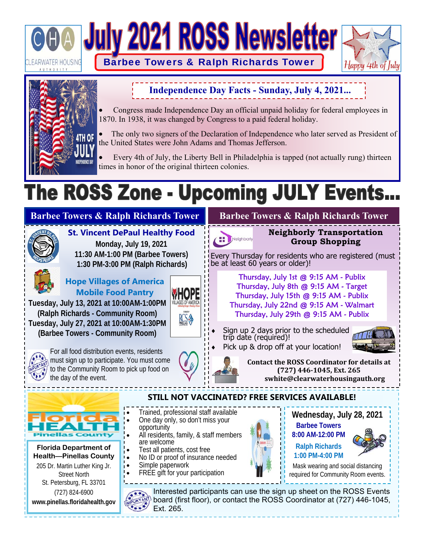



# **Independence Day Facts - Sunday, July 4, 2021...**

 Congress made Independence Day an official unpaid holiday for federal employees in 1870. In 1938, it was changed by Congress to a paid federal holiday.

 The only two signers of the Declaration of Independence who later served as President of the United States were John Adams and Thomas Jefferson.

 Every 4th of July, the Liberty Bell in Philadelphia is tapped (not actually rung) thirteen times in honor of the original thirteen colonies.

# The ROSS Zone - Upcoming JULY Events.